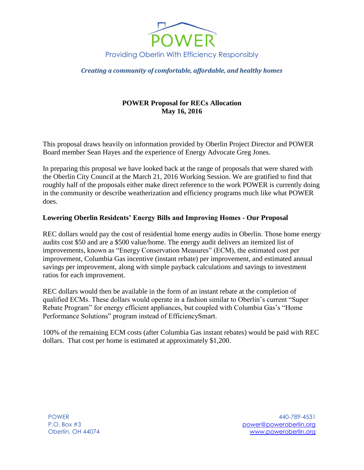

*Creating a community of comfortable, affordable, and healthy homes*

# **POWER Proposal for RECs Allocation May 16, 2016**

This proposal draws heavily on information provided by Oberlin Project Director and POWER Board member Sean Hayes and the experience of Energy Advocate Greg Jones.

In preparing this proposal we have looked back at the range of proposals that were shared with the Oberlin City Council at the March 21, 2016 Working Session. We are gratified to find that roughly half of the proposals either make direct reference to the work POWER is currently doing in the community or describe weatherization and efficiency programs much like what POWER does.

### **Lowering Oberlin Residents' Energy Bills and Improving Homes - Our Proposal**

REC dollars would pay the cost of residential home energy audits in Oberlin. Those home energy audits cost \$50 and are a \$500 value/home. The energy audit delivers an itemized list of improvements, known as "Energy Conservation Measures" (ECM), the estimated cost per improvement, Columbia Gas incentive (instant rebate) per improvement, and estimated annual savings per improvement, along with simple payback calculations and savings to investment ratios for each improvement.

REC dollars would then be available in the form of an instant rebate at the completion of qualified ECMs. These dollars would operate in a fashion similar to Oberlin's current "Super Rebate Program" for energy efficient appliances, but coupled with Columbia Gas's "Home Performance Solutions" program instead of EfficiencySmart.

100% of the remaining ECM costs (after Columbia Gas instant rebates) would be paid with REC dollars. That cost per home is estimated at approximately \$1,200.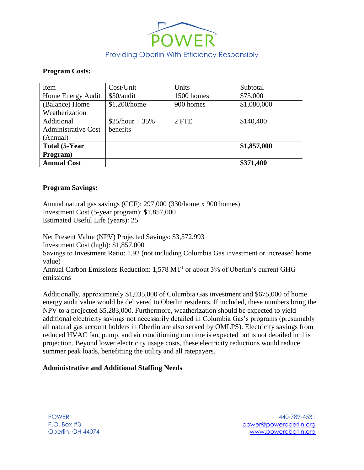

#### **Program Costs:**

| Item                       | Cost/Unit         | Units      | Subtotal    |
|----------------------------|-------------------|------------|-------------|
| Home Energy Audit          | \$50/audit        | 1500 homes | \$75,000    |
| (Balance) Home             | \$1,200/home      | 900 homes  | \$1,080,000 |
| Weatherization             |                   |            |             |
| Additional                 | $$25/hour + 35\%$ | 2 FTE      | \$140,400   |
| <b>Administrative Cost</b> | benefits          |            |             |
| (Annual)                   |                   |            |             |
| Total (5-Year              |                   |            | \$1,857,000 |
| Program)                   |                   |            |             |
| <b>Annual Cost</b>         |                   |            | \$371,400   |

### **Program Savings:**

Annual natural gas savings (CCF): 297,000 (330/home x 900 homes) Investment Cost (5-year program): \$1,857,000 Estimated Useful Life (years): 25

Net Present Value (NPV) Projected Savings: \$3,572,993 Investment Cost (high): \$1,857,000 Savings to Investment Ratio: 1.92 (not including Columbia Gas investment or increased home value) Annual Carbon Emissions Reduction:  $1,578 \text{ MT}^1$  or about 3% of Oberlin's current GHG emissions

Additionally, approximately \$1,035,000 of Columbia Gas investment and \$675,000 of home energy audit value would be delivered to Oberlin residents. If included, these numbers bring the NPV to a projected \$5,283,000. Furthermore, weatherization should be expected to yield additional electricity savings not necessarily detailed in Columbia Gas's programs (presumably all natural gas account holders in Oberlin are also served by OMLPS). Electricity savings from reduced HVAC fan, pump, and air conditioning run time is expected but is not detailed in this projection. Beyond lower electricity usage costs, these electricity reductions would reduce summer peak loads, benefitting the utility and all ratepayers.

### **Administrative and Additional Staffing Needs**

 $\overline{a}$